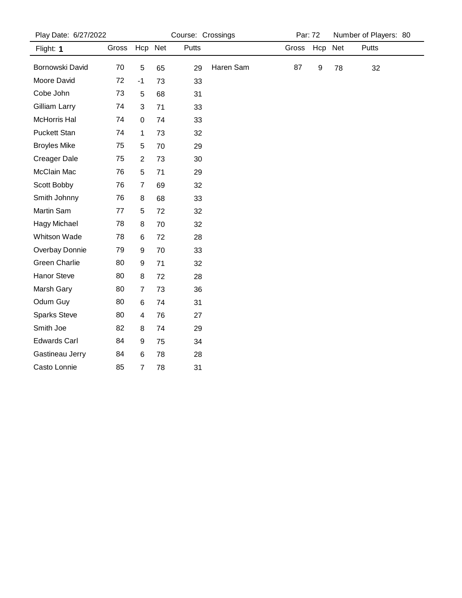| Play Date: 6/27/2022 |       | Course: Crossings       |     |       |           | Par: 72 |     | Number of Players: 80 |       |
|----------------------|-------|-------------------------|-----|-------|-----------|---------|-----|-----------------------|-------|
| Flight: 1            | Gross | Hcp                     | Net | Putts |           | Gross   | Hcp | <b>Net</b>            | Putts |
| Bornowski David      | 70    | $\sqrt{5}$              | 65  | 29    | Haren Sam | 87      | 9   | 78                    | 32    |
| Moore David          | 72    | $-1$                    | 73  | 33    |           |         |     |                       |       |
| Cobe John            | 73    | 5                       | 68  | 31    |           |         |     |                       |       |
| Gilliam Larry        | 74    | 3                       | 71  | 33    |           |         |     |                       |       |
| McHorris Hal         | 74    | $\mathbf 0$             | 74  | 33    |           |         |     |                       |       |
| <b>Puckett Stan</b>  | 74    | 1                       | 73  | 32    |           |         |     |                       |       |
| <b>Broyles Mike</b>  | 75    | 5                       | 70  | 29    |           |         |     |                       |       |
| Creager Dale         | 75    | $\overline{2}$          | 73  | 30    |           |         |     |                       |       |
| McClain Mac          | 76    | 5                       | 71  | 29    |           |         |     |                       |       |
| Scott Bobby          | 76    | $\overline{7}$          | 69  | 32    |           |         |     |                       |       |
| Smith Johnny         | 76    | 8                       | 68  | 33    |           |         |     |                       |       |
| Martin Sam           | 77    | 5                       | 72  | 32    |           |         |     |                       |       |
| Hagy Michael         | 78    | 8                       | 70  | 32    |           |         |     |                       |       |
| Whitson Wade         | 78    | 6                       | 72  | 28    |           |         |     |                       |       |
| Overbay Donnie       | 79    | $\boldsymbol{9}$        | 70  | 33    |           |         |     |                       |       |
| <b>Green Charlie</b> | 80    | 9                       | 71  | 32    |           |         |     |                       |       |
| Hanor Steve          | 80    | 8                       | 72  | 28    |           |         |     |                       |       |
| Marsh Gary           | 80    | 7                       | 73  | 36    |           |         |     |                       |       |
| Odum Guy             | 80    | 6                       | 74  | 31    |           |         |     |                       |       |
| <b>Sparks Steve</b>  | 80    | $\overline{\mathbf{4}}$ | 76  | 27    |           |         |     |                       |       |
| Smith Joe            | 82    | 8                       | 74  | 29    |           |         |     |                       |       |
| <b>Edwards Carl</b>  | 84    | $\boldsymbol{9}$        | 75  | 34    |           |         |     |                       |       |
| Gastineau Jerry      | 84    | 6                       | 78  | 28    |           |         |     |                       |       |
| Casto Lonnie         | 85    | 7                       | 78  | 31    |           |         |     |                       |       |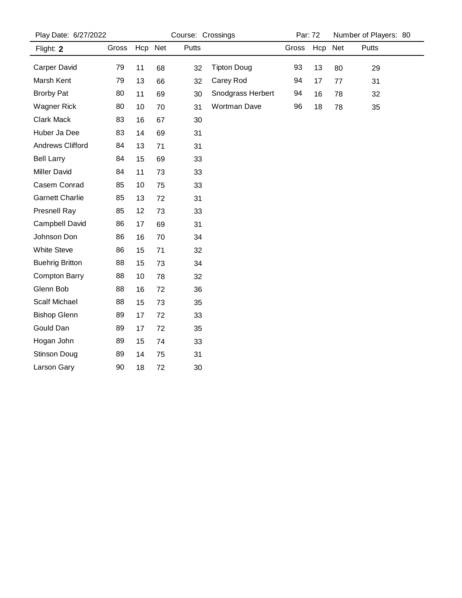| Play Date: 6/27/2022    |       |         | Course: Crossings |       |                    | Par: 72 |         |    | Number of Players: 80 |
|-------------------------|-------|---------|-------------------|-------|--------------------|---------|---------|----|-----------------------|
| Flight: 2               | Gross | Hcp Net |                   | Putts |                    | Gross   | Hcp Net |    | Putts                 |
| Carper David            | 79    | 11      | 68                | 32    | <b>Tipton Doug</b> | 93      | 13      | 80 | 29                    |
| Marsh Kent              | 79    | 13      | 66                | 32    | Carey Rod          | 94      | 17      | 77 | 31                    |
| <b>Brorby Pat</b>       | 80    | 11      | 69                | 30    | Snodgrass Herbert  | 94      | 16      | 78 | 32                    |
| <b>Wagner Rick</b>      | 80    | 10      | 70                | 31    | Wortman Dave       | 96      | 18      | 78 | 35                    |
| Clark Mack              | 83    | 16      | 67                | 30    |                    |         |         |    |                       |
| Huber Ja Dee            | 83    | 14      | 69                | 31    |                    |         |         |    |                       |
| <b>Andrews Clifford</b> | 84    | 13      | 71                | 31    |                    |         |         |    |                       |
| <b>Bell Larry</b>       | 84    | 15      | 69                | 33    |                    |         |         |    |                       |
| <b>Miller David</b>     | 84    | 11      | 73                | 33    |                    |         |         |    |                       |
| Casem Conrad            | 85    | 10      | 75                | 33    |                    |         |         |    |                       |
| <b>Garnett Charlie</b>  | 85    | 13      | 72                | 31    |                    |         |         |    |                       |
| <b>Presnell Ray</b>     | 85    | 12      | 73                | 33    |                    |         |         |    |                       |
| Campbell David          | 86    | 17      | 69                | 31    |                    |         |         |    |                       |
| Johnson Don             | 86    | 16      | 70                | 34    |                    |         |         |    |                       |
| <b>White Steve</b>      | 86    | 15      | 71                | 32    |                    |         |         |    |                       |
| <b>Buehrig Britton</b>  | 88    | 15      | 73                | 34    |                    |         |         |    |                       |
| <b>Compton Barry</b>    | 88    | 10      | 78                | 32    |                    |         |         |    |                       |
| Glenn Bob               | 88    | 16      | 72                | 36    |                    |         |         |    |                       |
| <b>Scalf Michael</b>    | 88    | 15      | 73                | 35    |                    |         |         |    |                       |
| <b>Bishop Glenn</b>     | 89    | 17      | 72                | 33    |                    |         |         |    |                       |
| Gould Dan               | 89    | 17      | 72                | 35    |                    |         |         |    |                       |
| Hogan John              | 89    | 15      | 74                | 33    |                    |         |         |    |                       |
| Stinson Doug            | 89    | 14      | 75                | 31    |                    |         |         |    |                       |
| Larson Gary             | 90    | 18      | 72                | 30    |                    |         |         |    |                       |